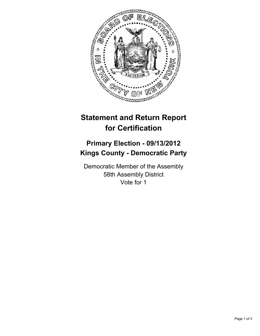

## **Statement and Return Report for Certification**

## **Primary Election - 09/13/2012 Kings County - Democratic Party**

Democratic Member of the Assembly 58th Assembly District Vote for 1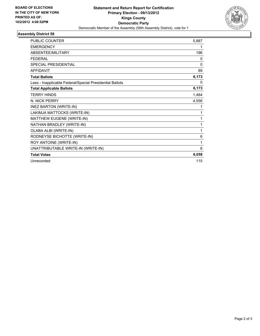

## **Assembly District 58**

| <b>PUBLIC COUNTER</b>                                    | 5,887 |
|----------------------------------------------------------|-------|
| <b>EMERGENCY</b>                                         | 1     |
| ABSENTEE/MILITARY                                        | 196   |
| <b>FEDERAL</b>                                           | 0     |
| <b>SPECIAL PRESIDENTIAL</b>                              | 0     |
| <b>AFFIDAVIT</b>                                         | 89    |
| <b>Total Ballots</b>                                     | 6,173 |
| Less - Inapplicable Federal/Special Presidential Ballots | 0     |
| <b>Total Applicable Ballots</b>                          | 6,173 |
| <b>TERRY HINDS</b>                                       | 1,484 |
| N. NICK PERRY                                            | 4,556 |
| <b>INEZ BARTON (WRITE-IN)</b>                            | 1     |
| LAKIMJA MATTOCKS (WRITE-IN)                              | 1     |
| MATTHEW EUGENE (WRITE-IN)                                | 1     |
| NATHAN BRADLEY (WRITE-IN)                                | 1     |
| OLABA ALBI (WRITE-IN)                                    | 1     |
| RODNEYSE BICHOTTE (WRITE-IN)                             | 6     |
| ROY ANTOINE (WRITE-IN)                                   | 1     |
| UNATTRIBUTABLE WRITE-IN (WRITE-IN)                       | 6     |
| <b>Total Votes</b>                                       | 6,058 |
| Unrecorded                                               | 115   |